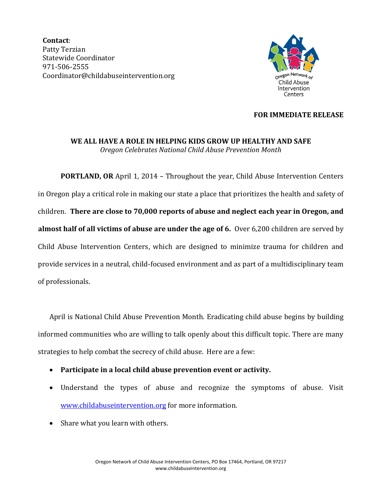**Contact**: Patty Terzian Statewide Coordinator 971-506-2555 Coordinator@childabuseintervention.org



## **FOR IMMEDIATE RELEASE**

## **WE ALL HAVE A ROLE IN HELPING KIDS GROW UP HEALTHY AND SAFE** *Oregon Celebrates National Child Abuse Prevention Month*

**PORTLAND, OR** April 1, 2014 – Throughout the year, Child Abuse Intervention Centers in Oregon play a critical role in making our state a place that prioritizes the health and safety of children. **There are close to 70,000 reports of abuse and neglect each year in Oregon, and almost half of all victims of abuse are under the age of 6.** Over 6,200 children are served by Child Abuse Intervention Centers, which are designed to minimize trauma for children and provide services in a neutral, child-focused environment and as part of a multidisciplinary team of professionals.

April is National Child Abuse Prevention Month. Eradicating child abuse begins by building informed communities who are willing to talk openly about this difficult topic. There are many strategies to help combat the secrecy of child abuse. Here are a few:

- **Participate in a local child abuse prevention event or activity.**
- Understand the types of abuse and recognize the symptoms of abuse. Visit [www.childabuseintervention.org](http://www.childabuseintervention.org/) for more information.
- Share what you learn with others.